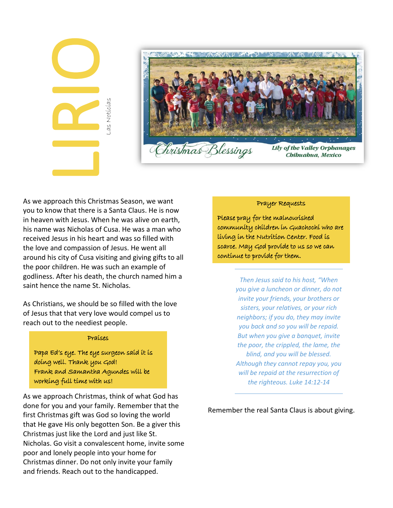| Las Noticias |
|--------------|
|              |



**Lily of the Valley Orphanages** Chihuahua, Mexico

As we approach this Christmas Season, we want you to know that there is a Santa Claus. He is now in heaven with Jesus. When he was alive on earth, his name was Nicholas of Cusa. He was a man who received Jesus in his heart and was so filled with the love and compassion of Jesus. He went all around his city of Cusa visiting and giving gifts to all the poor children. He was such an example of godliness. After his death, the church named him a saint hence the name St. Nicholas.

As Christians, we should be so filled with the love of Jesus that that very love would compel us to reach out to the neediest people.

## Praises

Papa Ed's eye. The eye surgeon said it is doing well. Thank you God! Frank and Samantha Agundes will be working full time with us!

As we approach Christmas, think of what God has done for you and your family. Remember that the first Christmas gift was God so loving the world that He gave His only begotten Son. Be a giver this Christmas just like the Lord and just like St. Nicholas. Go visit a convalescent home, invite some poor and lonely people into your home for Christmas dinner. Do not only invite your family and friends. Reach out to the handicapped.

## Prayer Requests

Please pray for the malnourished community children in Guachochi who are living in the Nutrition Center. Food is scarce. May God provide to us so we can continue to provide for them.

> *Then Jesus said to his host, "When you give a luncheon or dinner, do not invite your friends, your brothers or sisters, your relatives, or your rich neighbors; if you do, they may invite you back and so you will be repaid. But when you give a banquet, invite the poor, the crippled, the lame, the blind, and you will be blessed. Although they cannot repay you, you will be repaid at the resurrection of the righteous. Luke 14:12-14*

Remember the real Santa Claus is about giving.